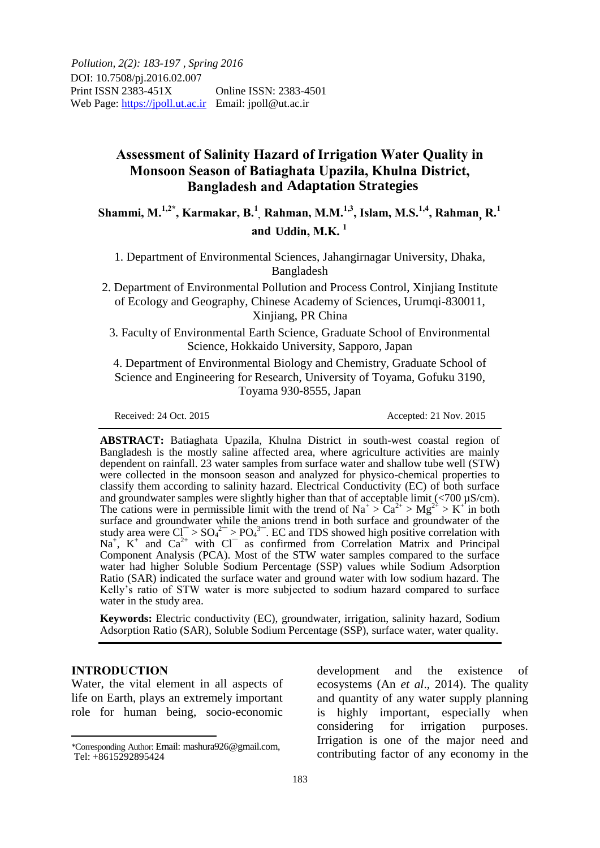# **Assessment of Salinity Hazard of Irrigation Water Quality in Monsoon Season of Batiaghata Upazila, Khulna District, Bangladesh and Adaptation Strategies**

**Shammi, M.1,2\* , Karmakar, B.<sup>1</sup> , Rahman, M.M.1,3 , Islam, M.S. 1,4 , Rahman R.<sup>1</sup> ,** and Uddin, M.K.<sup>1</sup>

1. Department of Environmental Sciences, Jahangirnagar University, Dhaka, Bangladesh

2. Department of Environmental Pollution and Process Control, Xinjiang Institute of Ecology and Geography, Chinese Academy of Sciences, Urumqi-830011, Xinjiang, PR China

3. Faculty of Environmental Earth Science, Graduate School of Environmental Science, Hokkaido University, Sapporo, Japan

4. Department of Environmental Biology and Chemistry, Graduate School of Science and Engineering for Research, University of Toyama, Gofuku 3190, Toyama 930-8555, Japan

Received: 24 Oct. 2015 Accepted: 21 Nov. 2015

**ABSTRACT:** Batiaghata Upazila, Khulna District in south-west coastal region of Bangladesh is the mostly saline affected area, where agriculture activities are mainly dependent on rainfall. 23 water samples from surface water and shallow tube well (STW) were collected in the monsoon season and analyzed for physico-chemical properties to classify them according to salinity hazard. Electrical Conductivity (EC) of both surface and groundwater samples were slightly higher than that of acceptable limit (<700  $\mu$ S/cm). The cations were in permissible limit with the trend of  $\text{Na}^+ > \text{Ca}^{2+} > \text{Mg}^{2+} > \text{K}^+$  in both surface and groundwater while the anions trend in both surface and groundwater of the study area were  $Cl^{-} > SO_4^{2-} > PO_4^{3-}$ . EC and TDS showed high positive correlation with  $Na<sup>+</sup>$ ,  $K<sup>+</sup>$  and  $Ca<sup>2+</sup>$  with Cl<sup>-</sup> as confirmed from Correlation Matrix and Principal Component Analysis (PCA). Most of the STW water samples compared to the surface water had higher Soluble Sodium Percentage (SSP) values while Sodium Adsorption Ratio (SAR) indicated the surface water and ground water with low sodium hazard. The Kelly's ratio of STW water is more subjected to sodium hazard compared to surface water in the study area.

**Keywords:** Electric conductivity (EC), groundwater, irrigation, salinity hazard, Sodium Adsorption Ratio (SAR), Soluble Sodium Percentage (SSP), surface water, water quality.

### **INTRODUCTION**

l

Water, the vital element in all aspects of life on Earth, plays an extremely important role for human being, socio-economic

development and the existence of ecosystems (An *et al*., 2014). The quality and quantity of any water supply planning is highly important, especially when considering for irrigation purposes. Irrigation is one of the major need and contributing factor of any economy in the

<sup>\*</sup>Corresponding Author: Email: mashura926@gmail.com, Tel: +8615292895424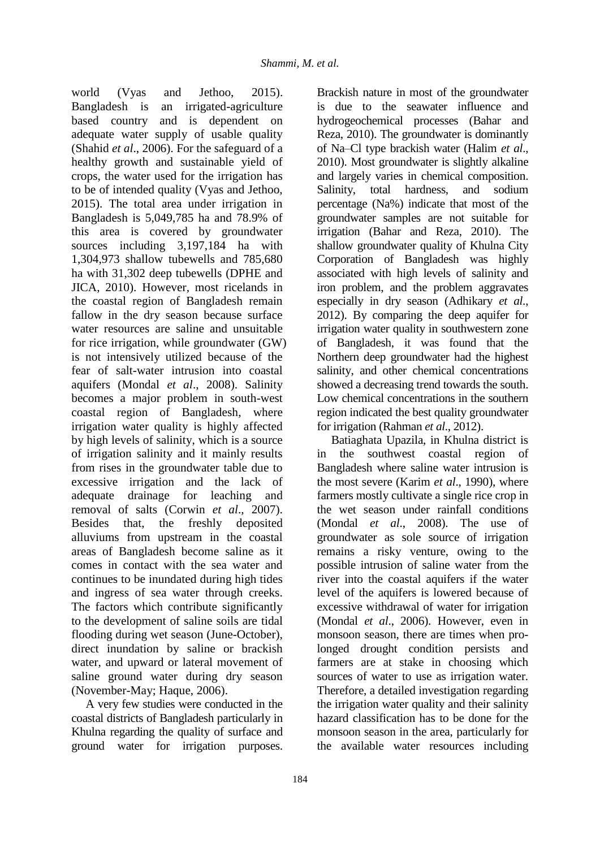world (Vyas and Jethoo, 2015). Bangladesh is an irrigated-agriculture based country and is dependent on adequate water supply of usable quality (Shahid *et al*., 2006). For the safeguard of a healthy growth and sustainable yield of crops, the water used for the irrigation has to be of intended quality (Vyas and Jethoo, 2015). The total area under irrigation in Bangladesh is 5,049,785 ha and 78.9% of this area is covered by groundwater sources including 3,197,184 ha with 1,304,973 shallow tubewells and 785,680 ha with 31,302 deep tubewells (DPHE and JICA, 2010). However, most ricelands in the coastal region of Bangladesh remain fallow in the dry season because surface water resources are saline and unsuitable for rice irrigation, while groundwater (GW) is not intensively utilized because of the fear of salt-water intrusion into coastal aquifers (Mondal *et al*., 2008). Salinity becomes a major problem in south-west coastal region of Bangladesh, where irrigation water quality is highly affected by high levels of salinity, which is a source of irrigation salinity and it mainly results from rises in the groundwater table due to excessive irrigation and the lack of adequate drainage for leaching and removal of salts (Corwin *et al*., 2007). Besides that, the freshly deposited alluviums from upstream in the coastal areas of Bangladesh become saline as it comes in contact with the sea water and continues to be inundated during high tides and ingress of sea water through creeks. The factors which contribute significantly to the development of saline soils are tidal flooding during wet season (June-October), direct inundation by saline or brackish water, and upward or lateral movement of saline ground water during dry season (November-May; Haque, 2006).

A very few studies were conducted in the coastal districts of Bangladesh particularly in Khulna regarding the quality of surface and ground water for irrigation purposes.

Brackish nature in most of the groundwater is due to the seawater influence and hydrogeochemical processes (Bahar and Reza, 2010). The groundwater is dominantly of Na–Cl type brackish water (Halim *et al*., 2010). Most groundwater is slightly alkaline and largely varies in chemical composition. Salinity, total hardness, and sodium percentage (Na%) indicate that most of the groundwater samples are not suitable for irrigation (Bahar and Reza, 2010). The shallow groundwater quality of Khulna City Corporation of Bangladesh was highly associated with high levels of salinity and iron problem, and the problem aggravates especially in dry season (Adhikary *et al*., 2012). By comparing the deep aquifer for irrigation water quality in southwestern zone of Bangladesh, it was found that the Northern deep groundwater had the highest salinity, and other chemical concentrations showed a decreasing trend towards the south. Low chemical concentrations in the southern region indicated the best quality groundwater for irrigation (Rahman *et al*., 2012).

Batiaghata Upazila, in Khulna district is in the southwest coastal region of Bangladesh where saline water intrusion is the most severe (Karim *et al*., 1990), where farmers mostly cultivate a single rice crop in the wet season under rainfall conditions (Mondal *et al*., 2008). The use of groundwater as sole source of irrigation remains a risky venture, owing to the possible intrusion of saline water from the river into the coastal aquifers if the water level of the aquifers is lowered because of excessive withdrawal of water for irrigation (Mondal *et al*., 2006). However, even in monsoon season, there are times when prolonged drought condition persists and farmers are at stake in choosing which sources of water to use as irrigation water. Therefore, a detailed investigation regarding the irrigation water quality and their salinity hazard classification has to be done for the monsoon season in the area, particularly for the available water resources including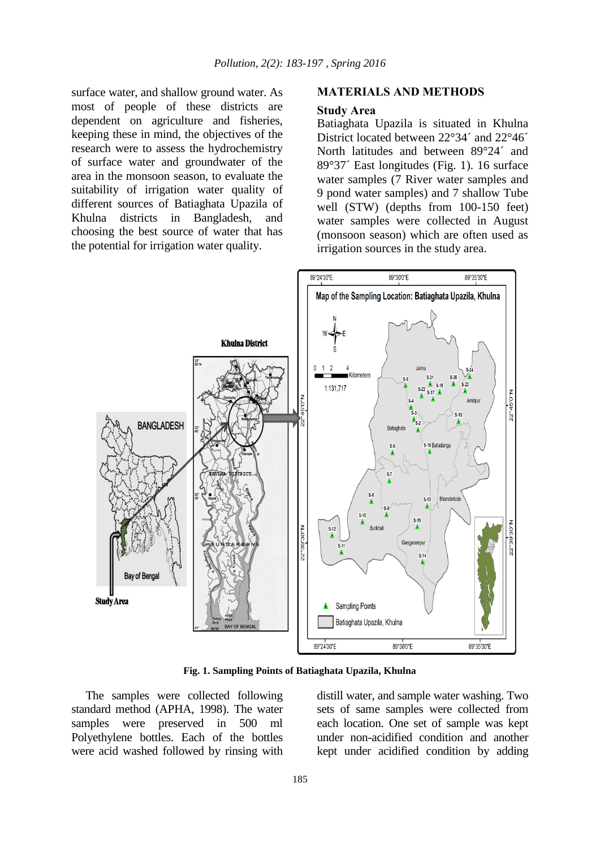surface water, and shallow ground water. As most of people of these districts are dependent on agriculture and fisheries, keeping these in mind, the objectives of the research were to assess the hydrochemistry of surface water and groundwater of the area in the monsoon season, to evaluate the suitability of irrigation water quality of different sources of Batiaghata Upazila of Khulna districts in Bangladesh, and choosing the best source of water that has the potential for irrigation water quality.

## **MATERIALS AND METHODS**

#### **Study Area**

Batiaghata Upazila is situated in Khulna District located between 22°34´ and 22°46´ North latitudes and between 89°24´ and 89°37´ East longitudes (Fig. 1). 16 surface water samples (7 River water samples and 9 pond water samples) and 7 shallow Tube well (STW) (depths from 100-150 feet) water samples were collected in August (monsoon season) which are often used as irrigation sources in the study area.



**Fig. 1. Sampling Points of Batiaghata Upazila, Khulna**

The samples were collected following standard method (APHA, 1998). The water samples were preserved in 500 ml Polyethylene bottles. Each of the bottles were acid washed followed by rinsing with distill water, and sample water washing. Two sets of same samples were collected from each location. One set of sample was kept under non-acidified condition and another kept under acidified condition by adding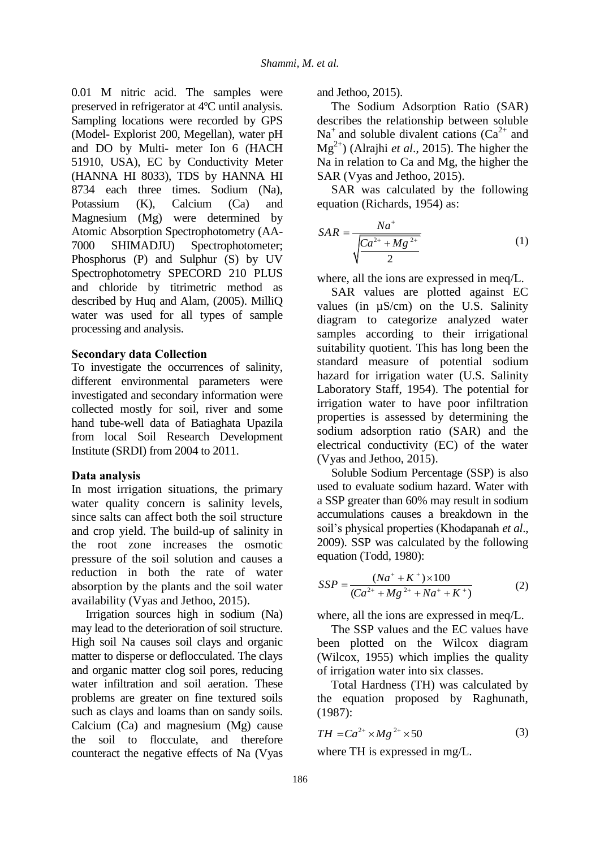0.01 M nitric acid. The samples were preserved in refrigerator at 4ºC until analysis. Sampling locations were recorded by GPS (Model- Explorist 200, Megellan), water pH and DO by Multi- meter Ion 6 (HACH 51910, USA), EC by Conductivity Meter (HANNA HI 8033), TDS by HANNA HI 8734 each three times. Sodium (Na), Potassium (K), Calcium (Ca) and Magnesium (Mg) were determined by Atomic Absorption Spectrophotometry (AA-7000 SHIMADJU) Spectrophotometer; Phosphorus (P) and Sulphur (S) by UV Spectrophotometry SPECORD 210 PLUS and chloride by titrimetric method as described by Huq and Alam, (2005). MilliQ water was used for all types of sample processing and analysis.

## **Secondary data Collection**

To investigate the occurrences of salinity, different environmental parameters were investigated and secondary information were collected mostly for soil, river and some hand tube-well data of Batiaghata Upazila from local Soil Research Development Institute (SRDI) from 2004 to 2011.

## **Data analysis**

In most irrigation situations, the primary water quality concern is salinity levels, since salts can affect both the soil structure and crop yield. The build-up of salinity in the root zone increases the osmotic pressure of the soil solution and causes a reduction in both the rate of water absorption by the plants and the soil water availability (Vyas and Jethoo, 2015).

Irrigation sources high in sodium (Na) may lead to the deterioration of soil structure. High soil Na causes soil clays and organic matter to disperse or deflocculated. The clays and organic matter clog soil pores, reducing water infiltration and soil aeration. These problems are greater on fine textured soils such as clays and loams than on sandy soils. Calcium (Ca) and magnesium (Mg) cause the soil to flocculate, and therefore counteract the negative effects of Na (Vyas

and Jethoo, 2015).

The Sodium Adsorption Ratio (SAR) describes the relationship between soluble  $Na<sup>+</sup>$  and soluble divalent cations (Ca<sup>2+</sup> and Mg2+) (Alrajhi *et al*., 2015). The higher the Na in relation to Ca and Mg, the higher the SAR (Vyas and Jethoo, 2015).

SAR was calculated by the following equation (Richards, 1954) as:

$$
SAR = \frac{Na^{+}}{\sqrt{\frac{Ca^{2+} + Mg^{2+}}{2}}}
$$
 (1)

where, all the ions are expressed in meq/L.

SAR values are plotted against EC values (in µS/cm) on the U.S. Salinity diagram to categorize analyzed water samples according to their irrigational suitability quotient. This has long been the standard measure of potential sodium hazard for irrigation water (U.S. Salinity Laboratory Staff, 1954). The potential for irrigation water to have poor infiltration properties is assessed by determining the sodium adsorption ratio (SAR) and the electrical conductivity (EC) of the water (Vyas and Jethoo, 2015).

Soluble Sodium Percentage (SSP) is also used to evaluate sodium hazard. Water with a SSP greater than 60% may result in sodium accumulations causes a breakdown in the soil's physical properties (Khodapanah *et al*., 2009). SSP was calculated by the following equation (Todd, 1980):

$$
SSP = \frac{(Na^{+} + K^{+}) \times 100}{(Ca^{2+} + Mg^{2+} + Na^{+} + K^{+})}
$$
 (2)

where, all the ions are expressed in meq/L.

The SSP values and the EC values have been plotted on the Wilcox diagram (Wilcox, 1955) which implies the quality of irrigation water into six classes.

Total Hardness (TH) was calculated by the equation proposed by Raghunath, (1987):

$$
TH = Ca^{2+} \times Mg^{2+} \times 50
$$
 (3)

where TH is expressed in mg/L.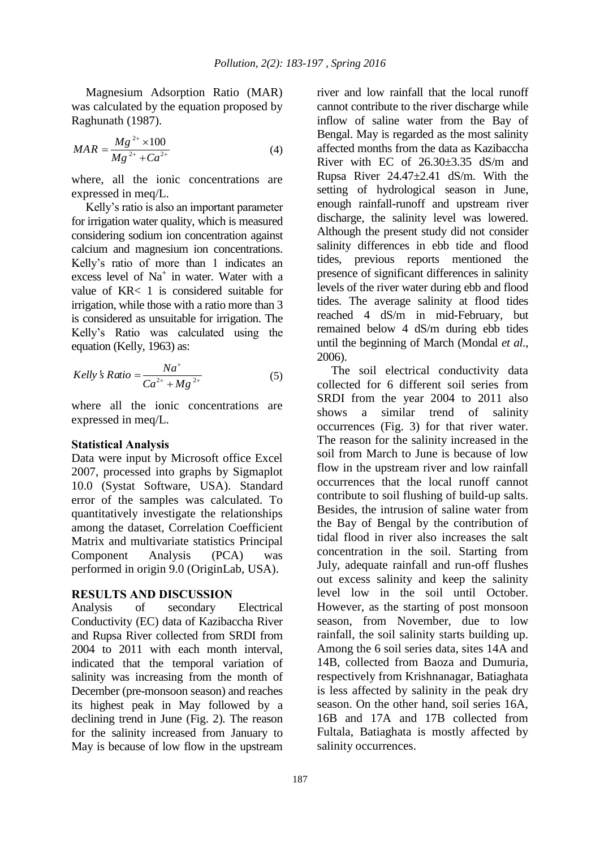Magnesium Adsorption Ratio (MAR) was calculated by the equation proposed by Raghunath (1987).

$$
MAR = \frac{Mg^{2+} \times 100}{Mg^{2+} + Ca^{2+}}
$$
 (4)

where, all the ionic concentrations are expressed in meq/L.

Kelly's ratio is also an important parameter for irrigation water quality, which is measured considering sodium ion concentration against calcium and magnesium ion concentrations. Kelly's ratio of more than 1 indicates an excess level of  $Na<sup>+</sup>$  in water. Water with a value of KR< 1 is considered suitable for irrigation, while those with a ratio more than 3 is considered as unsuitable for irrigation. The Kelly's Ratio was calculated using the equation (Kelly, 1963) as:

$$
Kelly's Ratio = \frac{Na^+}{Ca^{2+} + Mg^{2+}}
$$
 (5)

where all the ionic concentrations are expressed in meq/L.

### **Statistical Analysis**

Data were input by Microsoft office Excel 2007, processed into graphs by Sigmaplot 10.0 (Systat Software, USA). Standard error of the samples was calculated. To quantitatively investigate the relationships among the dataset, Correlation Coefficient Matrix and multivariate statistics Principal Component Analysis (PCA) was performed in origin 9.0 (OriginLab, USA).

#### **RESULTS AND DISCUSSION**

Analysis of secondary Electrical Conductivity (EC) data of Kazibaccha River and Rupsa River collected from SRDI from 2004 to 2011 with each month interval, indicated that the temporal variation of salinity was increasing from the month of December (pre-monsoon season) and reaches its highest peak in May followed by a declining trend in June (Fig. 2). The reason for the salinity increased from January to May is because of low flow in the upstream

river and low rainfall that the local runoff cannot contribute to the river discharge while inflow of saline water from the Bay of Bengal. May is regarded as the most salinity affected months from the data as Kazibaccha River with EC of  $26.30\pm3.35$  dS/m and Rupsa River 24.47±2.41 dS/m. With the setting of hydrological season in June, enough rainfall-runoff and upstream river discharge, the salinity level was lowered. Although the present study did not consider salinity differences in ebb tide and flood tides, previous reports mentioned the presence of significant differences in salinity levels of the river water during ebb and flood tides. The average salinity at flood tides reached 4 dS/m in mid-February, but remained below 4 dS/m during ebb tides until the beginning of March (Mondal *et al*., 2006).

The soil electrical conductivity data collected for 6 different soil series from SRDI from the year 2004 to 2011 also shows a similar trend of salinity occurrences (Fig. 3) for that river water. The reason for the salinity increased in the soil from March to June is because of low flow in the upstream river and low rainfall occurrences that the local runoff cannot contribute to soil flushing of build-up salts. Besides, the intrusion of saline water from the Bay of Bengal by the contribution of tidal flood in river also increases the salt concentration in the soil. Starting from July, adequate rainfall and run-off flushes out excess salinity and keep the salinity level low in the soil until October. However, as the starting of post monsoon season, from November, due to low rainfall, the soil salinity starts building up. Among the 6 soil series data, sites 14A and 14B, collected from Baoza and Dumuria, respectively from Krishnanagar, Batiaghata is less affected by salinity in the peak dry season. On the other hand, soil series 16A, 16B and 17A and 17B collected from Fultala, Batiaghata is mostly affected by salinity occurrences.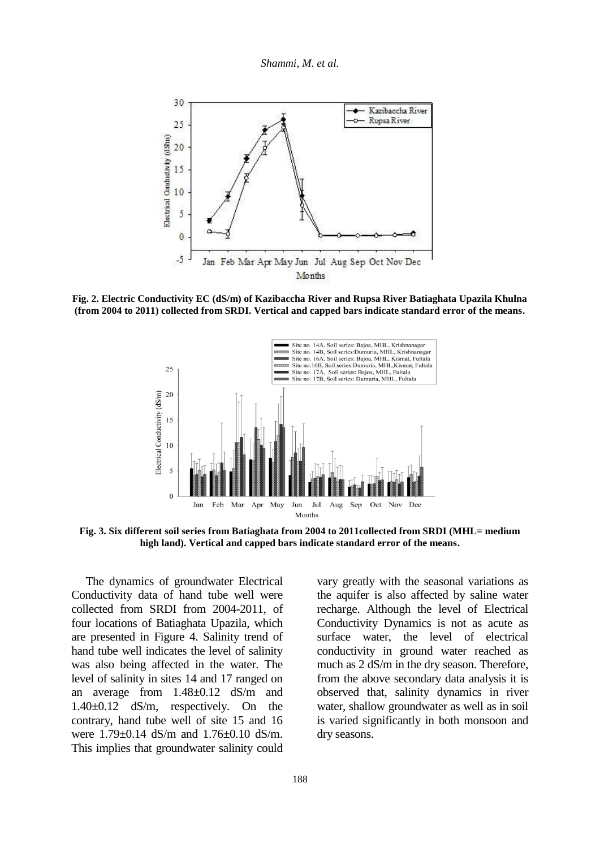

**Fig. 2. Electric Conductivity EC (dS/m) of Kazibaccha River and Rupsa River Batiaghata Upazila Khulna (from 2004 to 2011) collected from SRDI. Vertical and capped bars indicate standard error of the means.**



**Fig. 3. Six different soil series from Batiaghata from 2004 to 2011collected from SRDI (MHL= medium high land). Vertical and capped bars indicate standard error of the means.**

The dynamics of groundwater Electrical Conductivity data of hand tube well were collected from SRDI from 2004-2011, of four locations of Batiaghata Upazila, which are presented in Figure 4. Salinity trend of hand tube well indicates the level of salinity was also being affected in the water. The level of salinity in sites 14 and 17 ranged on an average from 1.48±0.12 dS/m and 1.40±0.12 dS/m, respectively. On the contrary, hand tube well of site 15 and 16 were 1.79±0.14 dS/m and 1.76±0.10 dS/m. This implies that groundwater salinity could vary greatly with the seasonal variations as the aquifer is also affected by saline water recharge. Although the level of Electrical Conductivity Dynamics is not as acute as surface water, the level of electrical conductivity in ground water reached as much as 2 dS/m in the dry season. Therefore, from the above secondary data analysis it is observed that, salinity dynamics in river water, shallow groundwater as well as in soil is varied significantly in both monsoon and dry seasons.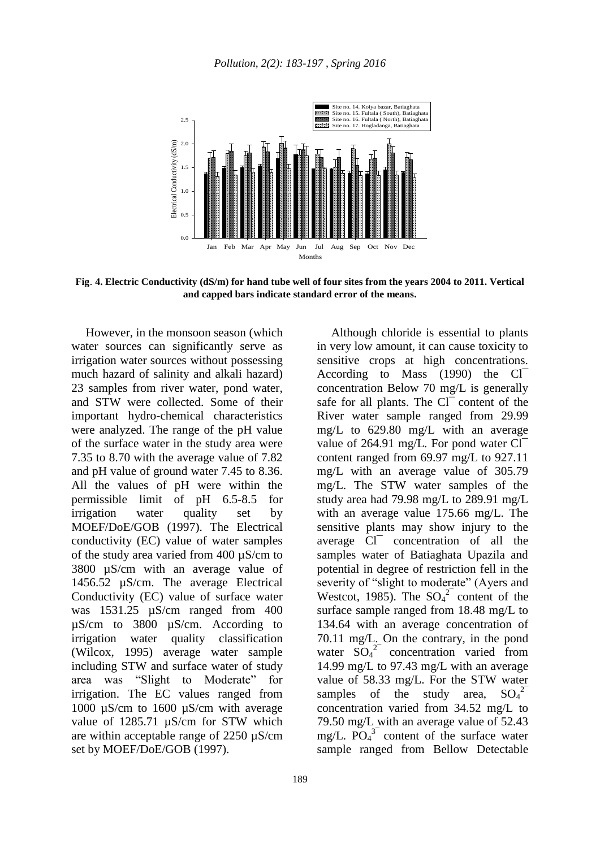

**Fig**. **4. Electric Conductivity (dS/m) for hand tube well of four sites from the years 2004 to 2011. Vertical and capped bars indicate standard error of the means.**

However, in the monsoon season (which water sources can significantly serve as irrigation water sources without possessing much hazard of salinity and alkali hazard) 23 samples from river water, pond water, and STW were collected. Some of their important hydro-chemical characteristics were analyzed. The range of the pH value of the surface water in the study area were 7.35 to 8.70 with the average value of 7.82 and pH value of ground water 7.45 to 8.36. All the values of pH were within the permissible limit of pH 6.5-8.5 for irrigation water quality set by MOEF/DoE/GOB (1997). The Electrical conductivity (EC) value of water samples of the study area varied from 400 µS/cm to 3800 µS/cm with an average value of 1456.52 µS/cm. The average Electrical Conductivity (EC) value of surface water was 1531.25 µS/cm ranged from 400 µS/cm to 3800 µS/cm. According to irrigation water quality classification (Wilcox, 1995) average water sample including STW and surface water of study area was "Slight to Moderate" for irrigation. The EC values ranged from 1000 µS/cm to 1600 µS/cm with average value of 1285.71  $\mu$ S/cm for STW which are within acceptable range of 2250 µS/cm set by MOEF/DoE/GOB (1997).

Although chloride is essential to plants in very low amount, it can cause toxicity to sensitive crops at high concentrations. According to Mass (1990) the Cl<sup>-</sup> concentration Below 70 mg/L is generally safe for all plants. The Cl<sup>-</sup> content of the River water sample ranged from 29.99 mg/L to 629.80 mg/L with an average value of 264.91 mg/L. For pond water  $Cl^$ content ranged from 69.97 mg/L to 927.11 mg/L with an average value of 305.79 mg/L. The STW water samples of the study area had 79.98 mg/L to 289.91 mg/L with an average value 175.66 mg/L. The sensitive plants may show injury to the average Cl¯ concentration of all the samples water of Batiaghata Upazila and potential in degree of restriction fell in the severity of "slight to moderate" (Ayers and Westcot, 1985). The  $SO_4^2$  content of the surface sample ranged from 18.48 mg/L to 134.64 with an average concentration of 70.11 mg/L. On the contrary, in the pond water  $SO_4^2$  concentration varied from 14.99 mg/L to 97.43 mg/L with an average value of 58.33 mg/L. For the STW water samples of the study area,  $SO_4^2$ concentration varied from 34.52 mg/L to 79.50 mg/L with an average value of 52.43 mg/L.  $\overline{PO_4}^3$  content of the surface water sample ranged from Bellow Detectable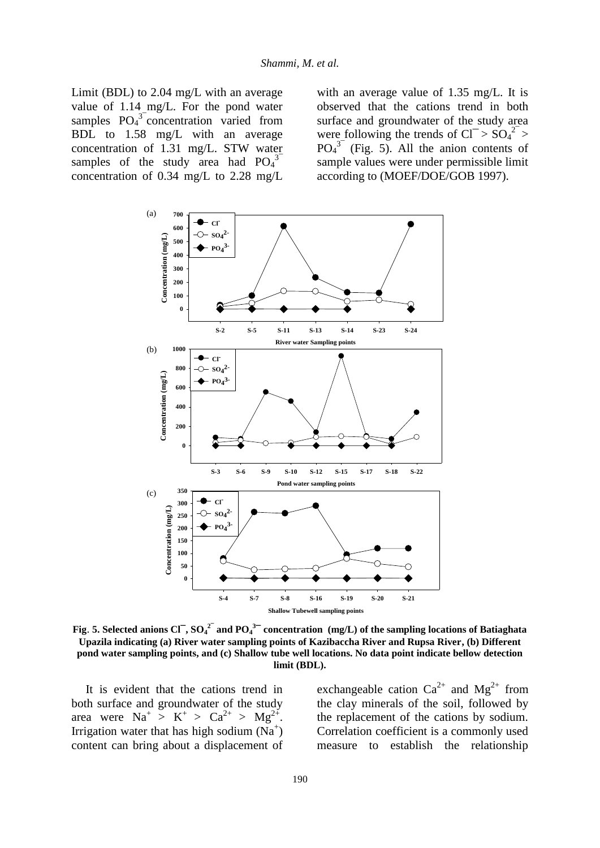Limit (BDL) to 2.04 mg/L with an average value of 1.14 mg/L. For the pond water samples  $PO<sub>4</sub><sup>3</sup>$  concentration varied from BDL to 1.58 mg/L with an average concentration of 1.31 mg/L. STW water samples of the study area had  $PO<sub>4</sub><sup>3</sup>$ concentration of 0.34 mg/L to 2.28 mg/L

with an average value of 1.35 mg/L. It is observed that the cations trend in both surface and groundwater of the study area were following the trends of  $Cl^{-} > SO_4^{2} >$  $PO<sub>4</sub><sup>3</sup>$  (Fig. 5). All the anion contents of sample values were under permissible limit according to (MOEF/DOE/GOB 1997).



**Fig. 5.** Selected anions Cl<sup>-</sup>,  $SO_4^2$ <sup>-</sup> and  $PO_4^3$ <sup>-</sup> concentration (mg/L) of the sampling locations of Batiaghata **Upazila indicating (a) River water sampling points of Kazibaccha River and Rupsa River, (b) Different pond water sampling points, and (c) Shallow tube well locations. No data point indicate bellow detection limit (BDL).** 

It is evident that the cations trend in both surface and groundwater of the study area were  $\text{Na}^+ > \text{K}^+ > \text{Ca}^{2+} > \text{Mg}^{2+}$ . Irrigation water that has high sodium  $(Na^+)$ content can bring about a displacement of

exchangeable cation  $Ca^{2+}$  and  $Mg^{2+}$  from the clay minerals of the soil, followed by the replacement of the cations by sodium. Correlation coefficient is a commonly used measure to establish the relationship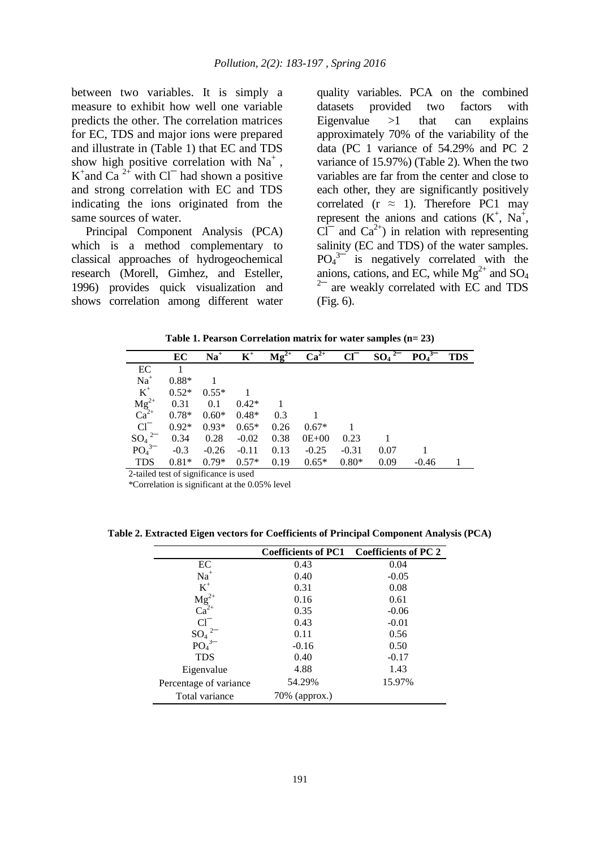between two variables. It is simply a measure to exhibit how well one variable predicts the other. The correlation matrices for EC, TDS and major ions were prepared and illustrate in (Table 1) that EC and TDS show high positive correlation with  $Na<sup>+</sup>$ , K<sup>+</sup> and Ca<sup>2+</sup> with Cl<sup>-</sup> had shown a positive and strong correlation with EC and TDS indicating the ions originated from the same sources of water.

Principal Component Analysis (PCA) which is a method complementary to classical approaches of hydrogeochemical research (Morell, Gimhez, and Esteller, 1996) provides quick visualization and shows correlation among different water quality variables. PCA on the combined datasets provided two factors with Eigenvalue  $>1$  that can explains approximately 70% of the variability of the data (PC 1 variance of 54.29% and PC 2 variance of 15.97%) (Table 2). When the two variables are far from the center and close to each other, they are significantly positively correlated ( $r \approx 1$ ). Therefore PC1 may represent the anions and cations  $(K^+, Na^+,$  $Cl^-$  and  $Ca^{2+}$ ) in relation with representing salinity (EC and TDS) of the water samples.  $PO<sub>4</sub><sup>3-</sup>$  is negatively correlated with the anions, cations, and EC, while  $Mg^{2+}$  and  $SO_4$ <sup>2-</sup> are weakly correlated with EC and TDS (Fig. 6).

**Table 1. Pearson Correlation matrix for water samples (n= 23)**

|                                          | EC      | $Na+$   | $K^+$   | $Mg^{2+}$ | $Ca2+$  | $Cl^{-}$ | $SO_4^2$ | $PO43-$ | <b>TDS</b> |
|------------------------------------------|---------|---------|---------|-----------|---------|----------|----------|---------|------------|
| EC                                       |         |         |         |           |         |          |          |         |            |
| $Na+$                                    | $0.88*$ |         |         |           |         |          |          |         |            |
| $K^+$                                    | $0.52*$ | $0.55*$ |         |           |         |          |          |         |            |
| $\mathbf{Mg}^{2+}_{2+}$ Ca <sup>2+</sup> | 0.31    | 0.1     | $0.42*$ |           |         |          |          |         |            |
|                                          | $0.78*$ | $0.60*$ | $0.48*$ | 0.3       |         |          |          |         |            |
| $Cl^-$                                   | $0.92*$ | $0.93*$ | $0.65*$ | 0.26      | $0.67*$ |          |          |         |            |
| $SO_4{}^{2-}$                            | 0.34    | 0.28    | $-0.02$ | 0.38      | $0E+00$ | 0.23     |          |         |            |
| $PO43-$                                  | $-0.3$  | $-0.26$ | $-0.11$ | 0.13      | $-0.25$ | $-0.31$  | 0.07     |         |            |
| <b>TDS</b>                               | $0.81*$ | $0.79*$ | $0.57*$ | 0.19      | $0.65*$ | $0.80*$  | 0.09     | $-0.46$ |            |

2-tailed test of significance is used

\*Correlation is significant at the 0.05% level

**Table 2. Extracted Eigen vectors for Coefficients of Principal Component Analysis (PCA)**

|                           |               | Coefficients of PC1 Coefficients of PC 2 |
|---------------------------|---------------|------------------------------------------|
| EC                        | 0.43          | 0.04                                     |
| $Na+$                     | 0.40          | $-0.05$                                  |
| $K^+$                     | 0.31          | 0.08                                     |
| $\frac{Mg^{2+}}{Ca^{2+}}$ | 0.16          | 0.61                                     |
|                           | 0.35          | $-0.06$                                  |
| $Cl^{-}$                  | 0.43          | $-0.01$                                  |
| $SO_4$ <sup>2-</sup>      | 0.11          | 0.56                                     |
| $PO43-$                   | $-0.16$       | 0.50                                     |
| <b>TDS</b>                | 0.40          | $-0.17$                                  |
| Eigenvalue                | 4.88          | 1.43                                     |
| Percentage of variance    | 54.29%        | 15.97%                                   |
| Total variance            | 70% (approx.) |                                          |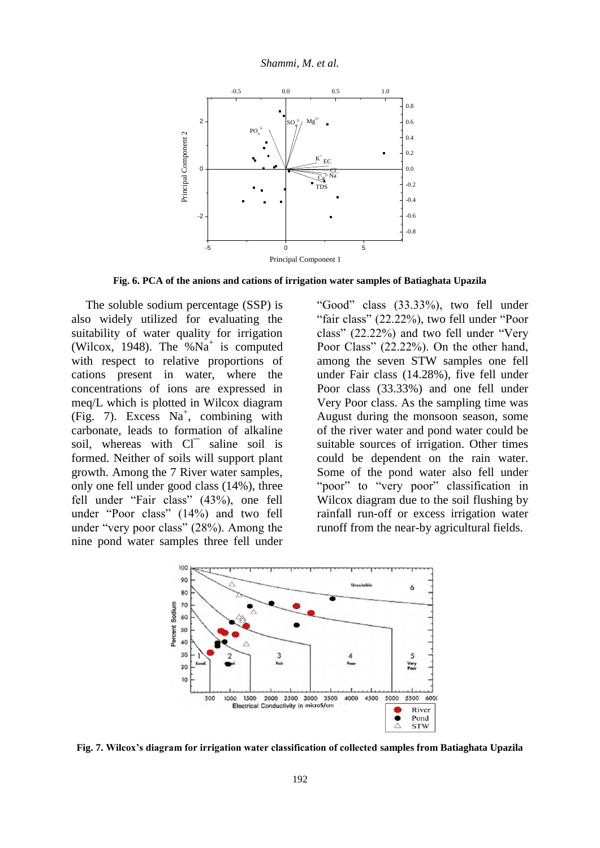

**Fig. 6. PCA of the anions and cations of irrigation water samples of Batiaghata Upazila**

The soluble sodium percentage (SSP) is also widely utilized for evaluating the suitability of water quality for irrigation (Wilcox, 1948). The  $%$ Na<sup>+</sup> is computed with respect to relative proportions of cations present in water, where the concentrations of ions are expressed in meq/L which is plotted in Wilcox diagram  $(Fig. 7)$ . Excess Na<sup>+</sup>, combining with carbonate, leads to formation of alkaline soil, whereas with Cl<sup>-</sup> saline soil is formed. Neither of soils will support plant growth. Among the 7 River water samples, only one fell under good class (14%), three fell under "Fair class" (43%), one fell under "Poor class" (14%) and two fell under "very poor class" (28%). Among the nine pond water samples three fell under

"Good" class (33.33%), two fell under "fair class" (22.22%), two fell under "Poor class" (22.22%) and two fell under "Very Poor Class" (22.22%). On the other hand, among the seven STW samples one fell under Fair class (14.28%), five fell under Poor class (33.33%) and one fell under Very Poor class. As the sampling time was August during the monsoon season, some of the river water and pond water could be suitable sources of irrigation. Other times could be dependent on the rain water. Some of the pond water also fell under "poor" to "very poor" classification in Wilcox diagram due to the soil flushing by rainfall run-off or excess irrigation water runoff from the near-by agricultural fields.



**Fig. 7. Wilcox's diagram for irrigation water classification of collected samples from Batiaghata Upazila**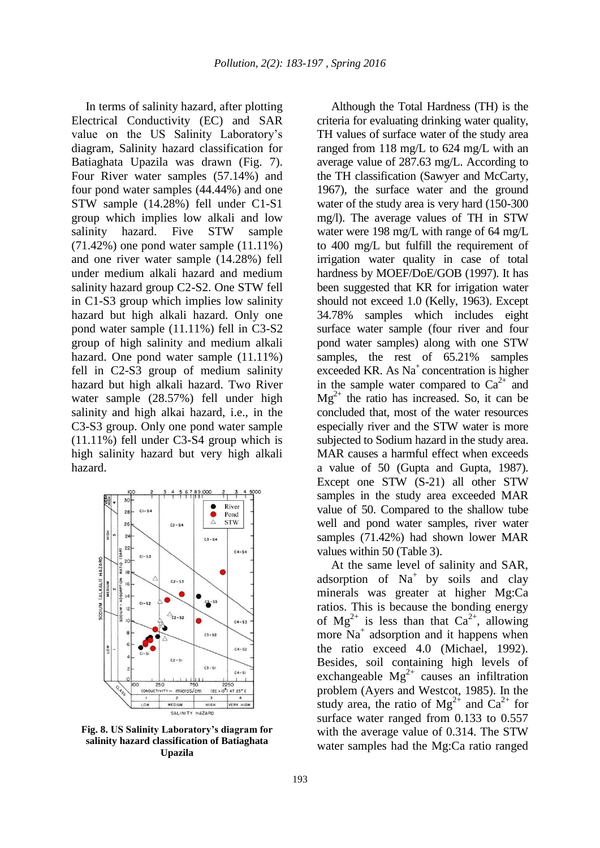In terms of salinity hazard, after plotting Electrical Conductivity (EC) and SAR value on the US Salinity Laboratory's diagram, Salinity hazard classification for Batiaghata Upazila was drawn (Fig. 7). Four River water samples (57.14%) and four pond water samples (44.44%) and one STW sample (14.28%) fell under C1-S1 group which implies low alkali and low salinity hazard. Five STW sample (71.42%) one pond water sample (11.11%) and one river water sample (14.28%) fell under medium alkali hazard and medium salinity hazard group C2-S2. One STW fell in C1-S3 group which implies low salinity hazard but high alkali hazard. Only one pond water sample (11.11%) fell in C3-S2 group of high salinity and medium alkali hazard. One pond water sample (11.11%) fell in C2-S3 group of medium salinity hazard but high alkali hazard. Two River water sample (28.57%) fell under high salinity and high alkai hazard, i.e., in the C3-S3 group. Only one pond water sample (11.11%) fell under C3-S4 group which is high salinity hazard but very high alkali hazard.



**Fig. 8. US Salinity Laboratory's diagram for salinity hazard classification of Batiaghata Upazila**

Although the Total Hardness (TH) is the criteria for evaluating drinking water quality, TH values of surface water of the study area ranged from 118 mg/L to 624 mg/L with an average value of 287.63 mg/L. According to the TH classification (Sawyer and McCarty, 1967), the surface water and the ground water of the study area is very hard (150-300 mg/l). The average values of TH in STW water were 198 mg/L with range of 64 mg/L to 400 mg/L but fulfill the requirement of irrigation water quality in case of total hardness by MOEF/DoE/GOB (1997). It has been suggested that KR for irrigation water should not exceed 1.0 (Kelly, 1963). Except 34.78% samples which includes eight surface water sample (four river and four pond water samples) along with one STW samples, the rest of 65.21% samples exceeded KR. As  $Na<sup>+</sup>$  concentration is higher in the sample water compared to  $Ca^{2+}$  and  $Mg^{2+}$  the ratio has increased. So, it can be concluded that, most of the water resources especially river and the STW water is more subjected to Sodium hazard in the study area. MAR causes a harmful effect when exceeds a value of 50 (Gupta and Gupta, 1987). Except one STW (S-21) all other STW samples in the study area exceeded MAR value of 50. Compared to the shallow tube well and pond water samples, river water samples (71.42%) had shown lower MAR values within 50 (Table 3).

At the same level of salinity and SAR, adsorption of  $Na<sup>+</sup>$  by soils and clay minerals was greater at higher Mg:Ca ratios. This is because the bonding energy of  $Mg^{2+}$  is less than that  $Ca^{2+}$ , allowing more Na<sup>+</sup> adsorption and it happens when the ratio exceed 4.0 (Michael, 1992). Besides, soil containing high levels of exchangeable  $Mg^{2+}$  causes an infiltration problem (Ayers and Westcot, 1985). In the study area, the ratio of  $Mg^{2+}$  and  $Ca^{2+}$  for surface water ranged from 0.133 to 0.557 with the average value of 0.314. The STW water samples had the Mg:Ca ratio ranged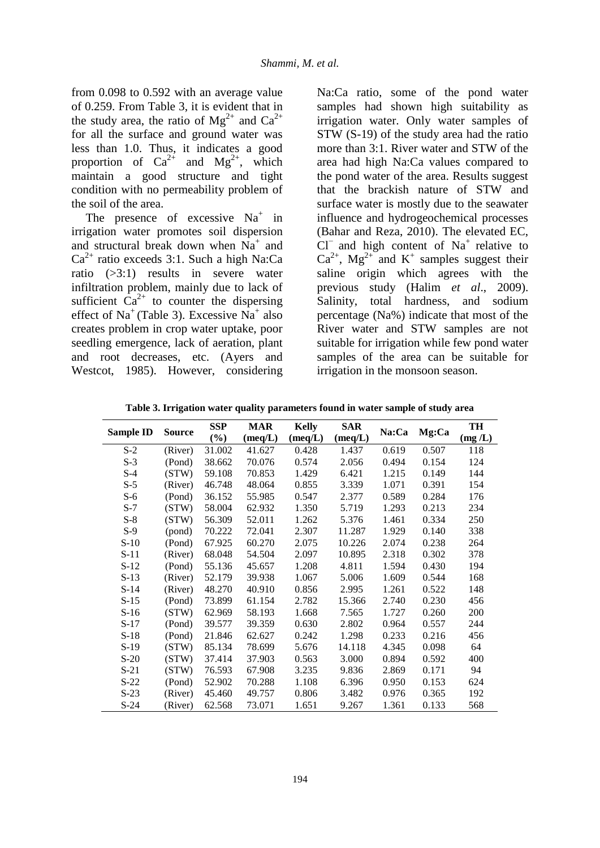from 0.098 to 0.592 with an average value of 0.259. From Table 3, it is evident that in the study area, the ratio of  $Mg^{2+}$  and  $Ca^{2+}$ for all the surface and ground water was less than 1.0. Thus, it indicates a good proportion of  $Ca^{2+}$  and  $Mg^{2+}$ , which maintain a good structure and tight condition with no permeability problem of the soil of the area.

The presence of excessive  $Na<sup>+</sup>$  in irrigation water promotes soil dispersion and structural break down when  $Na<sup>+</sup>$  and  $Ca<sup>2+</sup>$  ratio exceeds 3:1. Such a high Na:Ca ratio (>3:1) results in severe water infiltration problem, mainly due to lack of sufficient  $Ca^{2+}$  to counter the dispersing effect of Na<sup>+</sup> (Table 3). Excessive Na<sup>+</sup> also creates problem in crop water uptake, poor seedling emergence, lack of aeration, plant and root decreases, etc. (Ayers and Westcot, 1985). However, considering

Na:Ca ratio, some of the pond water samples had shown high suitability as irrigation water. Only water samples of STW (S-19) of the study area had the ratio more than 3:1. River water and STW of the area had high Na:Ca values compared to the pond water of the area. Results suggest that the brackish nature of STW and surface water is mostly due to the seawater influence and hydrogeochemical processes (Bahar and Reza, 2010). The elevated EC,  $Cl$ <sup>-</sup> and high content of Na<sup>+</sup> relative to  $Ca^{2+}$ , Mg<sup>2+</sup> and K<sup>+</sup> samples suggest their saline origin which agrees with the previous study (Halim *et al*., 2009). Salinity, total hardness, and sodium percentage (Na%) indicate that most of the River water and STW samples are not suitable for irrigation while few pond water samples of the area can be suitable for irrigation in the monsoon season.

**Table 3. Irrigation water quality parameters found in water sample of study area**

|                  | <b>Source</b> | <b>SSP</b> | <b>MAR</b> | <b>Kelly</b>     | <b>SAR</b>       |       | Mg:Ca | TH     |
|------------------|---------------|------------|------------|------------------|------------------|-------|-------|--------|
| <b>Sample ID</b> |               | $(\%)$     | (meq/L)    | $(\text{meq}/L)$ | $(\text{meq}/L)$ | Na:Ca |       | (mg/L) |
| $S-2$            | (River)       | 31.002     | 41.627     | 0.428            | 1.437            | 0.619 | 0.507 | 118    |
| $S-3$            | (Pond)        | 38.662     | 70.076     | 0.574            | 2.056            | 0.494 | 0.154 | 124    |
| $S-4$            | (STW)         | 59.108     | 70.853     | 1.429            | 6.421            | 1.215 | 0.149 | 144    |
| $S-5$            | (River)       | 46.748     | 48.064     | 0.855            | 3.339            | 1.071 | 0.391 | 154    |
| $S-6$            | (Pond)        | 36.152     | 55.985     | 0.547            | 2.377            | 0.589 | 0.284 | 176    |
| $S-7$            | (STW)         | 58.004     | 62.932     | 1.350            | 5.719            | 1.293 | 0.213 | 234    |
| $S-8$            | (STW)         | 56.309     | 52.011     | 1.262            | 5.376            | 1.461 | 0.334 | 250    |
| $S-9$            | (pond)        | 70.222     | 72.041     | 2.307            | 11.287           | 1.929 | 0.140 | 338    |
| $S-10$           | (Pond)        | 67.925     | 60.270     | 2.075            | 10.226           | 2.074 | 0.238 | 264    |
| $S-11$           | (River)       | 68.048     | 54.504     | 2.097            | 10.895           | 2.318 | 0.302 | 378    |
| $S-12$           | (Pond)        | 55.136     | 45.657     | 1.208            | 4.811            | 1.594 | 0.430 | 194    |
| $S-13$           | (River)       | 52.179     | 39.938     | 1.067            | 5.006            | 1.609 | 0.544 | 168    |
| $S-14$           | (River)       | 48.270     | 40.910     | 0.856            | 2.995            | 1.261 | 0.522 | 148    |
| $S-15$           | (Pond)        | 73.899     | 61.154     | 2.782            | 15.366           | 2.740 | 0.230 | 456    |
| $S-16$           | (STW)         | 62.969     | 58.193     | 1.668            | 7.565            | 1.727 | 0.260 | 200    |
| $S-17$           | (Pond)        | 39.577     | 39.359     | 0.630            | 2.802            | 0.964 | 0.557 | 244    |
| $S-18$           | (Pond)        | 21.846     | 62.627     | 0.242            | 1.298            | 0.233 | 0.216 | 456    |
| $S-19$           | (STW)         | 85.134     | 78.699     | 5.676            | 14.118           | 4.345 | 0.098 | 64     |
| $S-20$           | (STW)         | 37.414     | 37.903     | 0.563            | 3.000            | 0.894 | 0.592 | 400    |
| $S-21$           | (STW)         | 76.593     | 67.908     | 3.235            | 9.836            | 2.869 | 0.171 | 94     |
| $S-22$           | (Pond)        | 52.902     | 70.288     | 1.108            | 6.396            | 0.950 | 0.153 | 624    |
| $S-23$           | (River)       | 45.460     | 49.757     | 0.806            | 3.482            | 0.976 | 0.365 | 192    |
| $S-24$           | (River)       | 62.568     | 73.071     | 1.651            | 9.267            | 1.361 | 0.133 | 568    |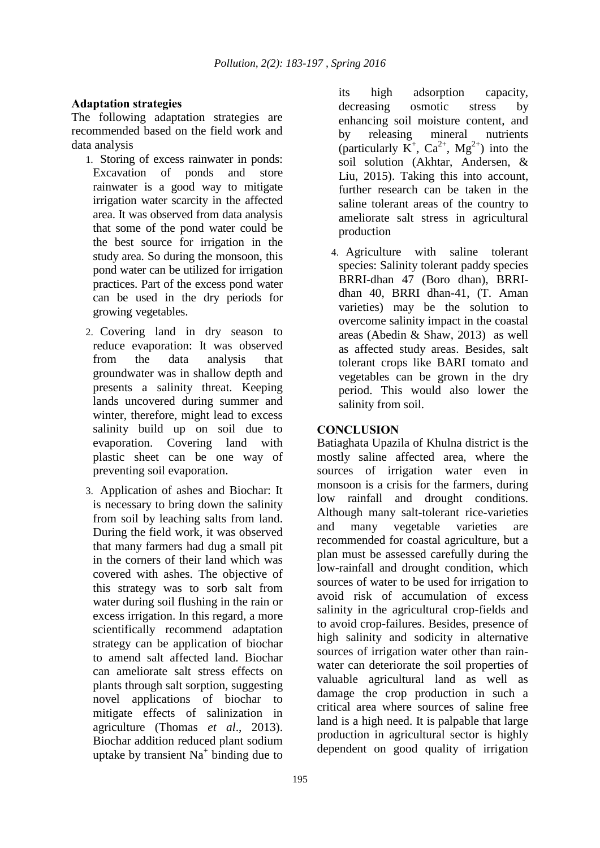# **Adaptation strategies**

The following adaptation strategies are recommended based on the field work and data analysis

- 1. Storing of excess rainwater in ponds: Excavation of ponds and store rainwater is a good way to mitigate irrigation water scarcity in the affected area. It was observed from data analysis that some of the pond water could be the best source for irrigation in the study area. So during the monsoon, this pond water can be utilized for irrigation practices. Part of the excess pond water can be used in the dry periods for growing vegetables.
- 2. Covering land in dry season to reduce evaporation: It was observed from the data analysis that groundwater was in shallow depth and presents a salinity threat. Keeping lands uncovered during summer and winter, therefore, might lead to excess salinity build up on soil due to evaporation. Covering land with plastic sheet can be one way of preventing soil evaporation.
- 3. Application of ashes and Biochar: It is necessary to bring down the salinity from soil by leaching salts from land. During the field work, it was observed that many farmers had dug a small pit in the corners of their land which was covered with ashes. The objective of this strategy was to sorb salt from water during soil flushing in the rain or excess irrigation. In this regard, a more scientifically recommend adaptation strategy can be application of biochar to amend salt affected land. Biochar can ameliorate salt stress effects on plants through salt sorption, suggesting novel applications of biochar to mitigate effects of salinization in agriculture (Thomas *et al*., 2013). Biochar addition reduced plant sodium uptake by transient  $Na<sup>+</sup>$  binding due to

its high adsorption capacity, decreasing osmotic stress by enhancing soil moisture content, and by releasing mineral nutrients (particularly  $\overline{K}^+$ ,  $Ca^{2+}$ ,  $Mg^{2+}$ ) into the soil solution (Akhtar, Andersen, & Liu, 2015). Taking this into account, further research can be taken in the saline tolerant areas of the country to ameliorate salt stress in agricultural production

4. Agriculture with saline tolerant species: Salinity tolerant paddy species BRRI-dhan 47 (Boro dhan), BRRIdhan 40, BRRI dhan-41, (T. Aman varieties) may be the solution to overcome salinity impact in the coastal areas (Abedin & Shaw, 2013) as well as affected study areas. Besides, salt tolerant crops like BARI tomato and vegetables can be grown in the dry period. This would also lower the salinity from soil.

# **CONCLUSION**

Batiaghata Upazila of Khulna district is the mostly saline affected area, where the sources of irrigation water even in monsoon is a crisis for the farmers, during low rainfall and drought conditions. Although many salt-tolerant rice-varieties and many vegetable varieties are recommended for coastal agriculture, but a plan must be assessed carefully during the low-rainfall and drought condition, which sources of water to be used for irrigation to avoid risk of accumulation of excess salinity in the agricultural crop-fields and to avoid crop-failures. Besides, presence of high salinity and sodicity in alternative sources of irrigation water other than rainwater can deteriorate the soil properties of valuable agricultural land as well as damage the crop production in such a critical area where sources of saline free land is a high need. It is palpable that large production in agricultural sector is highly dependent on good quality of irrigation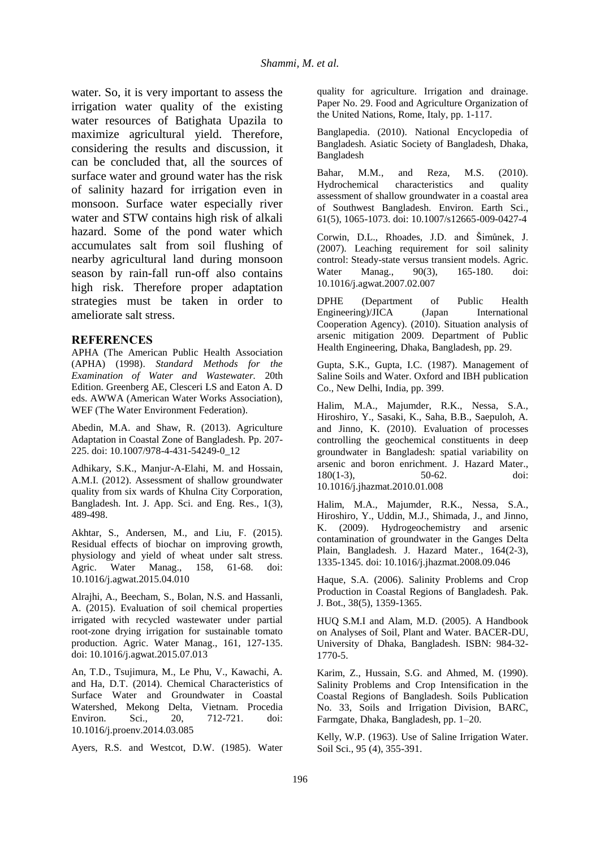water. So, it is very important to assess the irrigation water quality of the existing water resources of Batighata Upazila to maximize agricultural yield. Therefore, considering the results and discussion, it can be concluded that, all the sources of surface water and ground water has the risk of salinity hazard for irrigation even in monsoon. Surface water especially river water and STW contains high risk of alkali hazard. Some of the pond water which accumulates salt from soil flushing of nearby agricultural land during monsoon season by rain-fall run-off also contains high risk. Therefore proper adaptation strategies must be taken in order to ameliorate salt stress.

#### **REFERENCES**

APHA (The American Public Health Association (APHA) (1998). *Standard Methods for the Examination of Water and Wastewater.* 20th Edition. Greenberg AE, Clesceri LS and Eaton A. D eds. AWWA (American Water Works Association), WEF (The Water Environment Federation).

Abedin, M.A. and Shaw, R. (2013). Agriculture Adaptation in Coastal Zone of Bangladesh. Pp. 207- 225. doi: 10.1007/978-4-431-54249-0\_12

Adhikary, S.K., Manjur-A-Elahi, M. and Hossain, A.M.I. (2012). Assessment of shallow groundwater quality from six wards of Khulna City Corporation, Bangladesh. Int. J. App. Sci. and Eng. Res., 1(3), 489-498.

Akhtar, S., Andersen, M., and Liu, F. (2015). Residual effects of biochar on improving growth, physiology and yield of wheat under salt stress. Agric. Water Manag., 158, 61-68. doi: 10.1016/j.agwat.2015.04.010

Alrajhi, A., Beecham, S., Bolan, N.S. and Hassanli, A. (2015). Evaluation of soil chemical properties irrigated with recycled wastewater under partial root-zone drying irrigation for sustainable tomato production. Agric. Water Manag., 161, 127-135. doi: 10.1016/j.agwat.2015.07.013

An, T.D., Tsujimura, M., Le Phu, V., Kawachi, A. and Ha, D.T. (2014). Chemical Characteristics of Surface Water and Groundwater in Coastal Watershed, Mekong Delta, Vietnam. Procedia Environ. Sci., 20, 712-721. doi: 10.1016/j.proenv.2014.03.085

Ayers, R.S. and Westcot, D.W. (1985). Water

quality for agriculture. Irrigation and drainage. Paper No. 29. Food and Agriculture Organization of the United Nations, Rome, Italy, pp. 1-117.

Banglapedia. (2010). National Encyclopedia of Bangladesh. Asiatic Society of Bangladesh, Dhaka, Bangladesh

Bahar, M.M., and Reza, M.S. (2010). Hydrochemical characteristics and quality assessment of shallow groundwater in a coastal area of Southwest Bangladesh. Environ. Earth Sci., 61(5), 1065-1073. doi: 10.1007/s12665-009-0427-4

Corwin, D.L., Rhoades, J.D. and Šimůnek, J. (2007). Leaching requirement for soil salinity control: Steady-state versus transient models. Agric. Water Manag., 90(3), 165-180. doi: 10.1016/j.agwat.2007.02.007

DPHE (Department of Public Health Engineering)/JICA (Japan International Cooperation Agency). (2010). Situation analysis of arsenic mitigation 2009. Department of Public Health Engineering, Dhaka, Bangladesh, pp. 29.

Gupta, S.K., Gupta, I.C. (1987). Management of Saline Soils and Water. Oxford and IBH publication Co., New Delhi, India, pp. 399.

Halim, M.A., Majumder, R.K., Nessa, S.A., Hiroshiro, Y., Sasaki, K., Saha, B.B., Saepuloh, A. and Jinno, K. (2010). Evaluation of processes controlling the geochemical constituents in deep groundwater in Bangladesh: spatial variability on arsenic and boron enrichment. J. Hazard Mater., 180(1-3), 50-62. doi: 10.1016/j.jhazmat.2010.01.008

Halim, M.A., Majumder, R.K., Nessa, S.A., Hiroshiro, Y., Uddin, M.J., Shimada, J., and Jinno, K. (2009). Hydrogeochemistry and arsenic contamination of groundwater in the Ganges Delta Plain, Bangladesh. J. Hazard Mater., 164(2-3), 1335-1345. doi: 10.1016/j.jhazmat.2008.09.046

Haque, S.A. (2006). Salinity Problems and Crop Production in Coastal Regions of Bangladesh. Pak. J. Bot., 38(5), 1359-1365.

HUQ S.M.I and Alam, M.D. (2005). A Handbook on Analyses of Soil, Plant and Water. BACER-DU, University of Dhaka, Bangladesh. ISBN: 984-32- 1770-5.

Karim, Z., Hussain, S.G. and Ahmed, M. (1990). Salinity Problems and Crop Intensification in the Coastal Regions of Bangladesh. Soils Publication No. 33, Soils and Irrigation Division, BARC, Farmgate, Dhaka, Bangladesh, pp. 1–20.

Kelly, W.P. (1963). Use of Saline Irrigation Water. Soil Sci., 95 (4), 355-391.